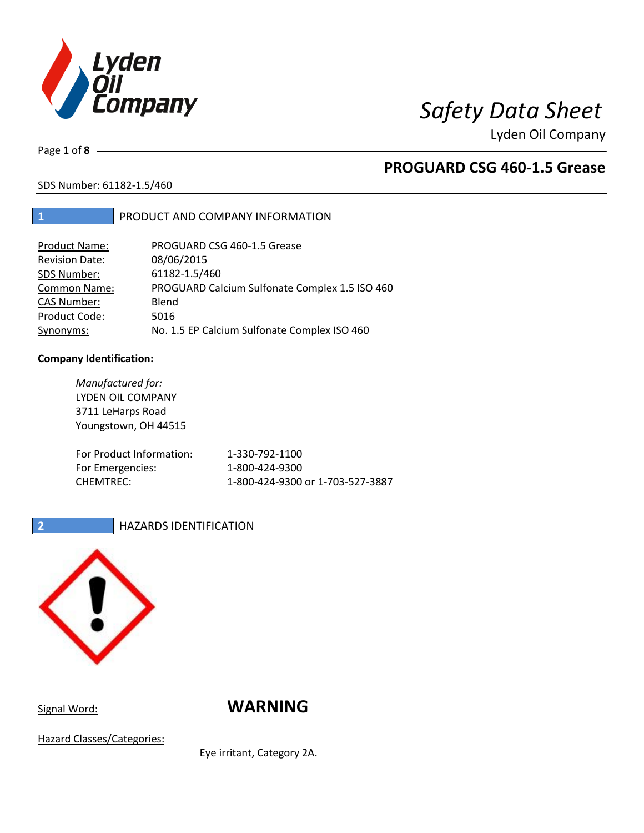

# *Safety Data Sheet*

Lyden Oil Company

Page **1** of **8**

## **PROGUARD CSG 460-1.5 Grease**

SDS Number: 61182-1.5/460

## **1** PRODUCT AND COMPANY INFORMATION

| <b>Product Name:</b>  | PROGUARD CSG 460-1.5 Grease                    |
|-----------------------|------------------------------------------------|
| <b>Revision Date:</b> | 08/06/2015                                     |
| SDS Number:           | 61182-1.5/460                                  |
| Common Name:          | PROGUARD Calcium Sulfonate Complex 1.5 ISO 460 |
| <b>CAS Number:</b>    | Blend                                          |
| Product Code:         | 5016                                           |
| Synonyms:             | No. 1.5 EP Calcium Sulfonate Complex ISO 460   |

### **Company Identification:**

| Manufactured for:<br>LYDEN OIL COMPANY<br>3711 LeHarps Road<br>Youngstown, OH 44515 |                                  |
|-------------------------------------------------------------------------------------|----------------------------------|
| For Product Information:                                                            | 1-330-792-1100                   |
| For Emergencies:                                                                    | 1-800-424-9300                   |
| <b>CHEMTREC:</b>                                                                    | 1-800-424-9300 or 1-703-527-3887 |

## **2 HAZARDS IDENTIFICATION**



Signal Word: **WARNING** 

Hazard Classes/Categories:

Eye irritant, Category 2A.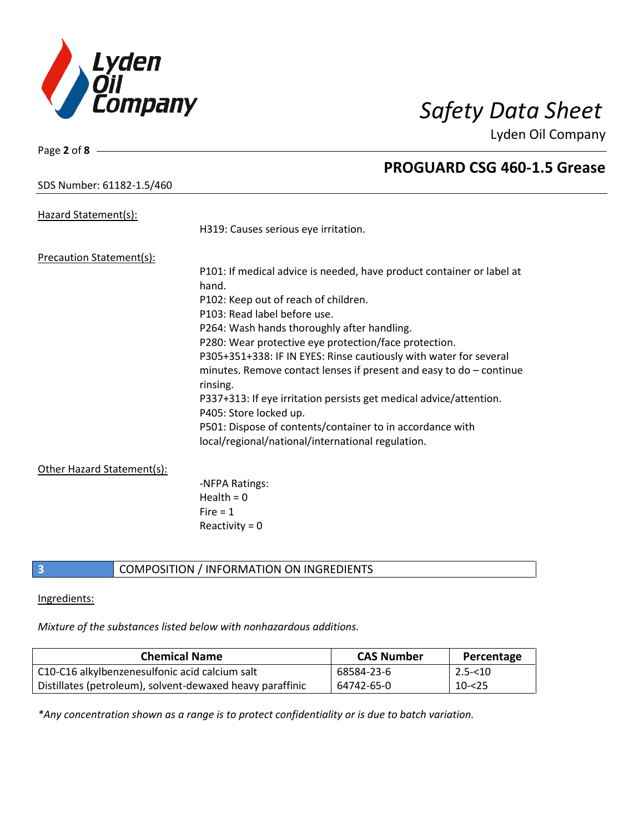

**PROGUARD CSG 460-1.5 Grease**

Lyden Oil Company

## SDS Number: 61182-1.5/460

Page **2** of **8**

| Hazard Statement(s):            |                                                                                              |
|---------------------------------|----------------------------------------------------------------------------------------------|
|                                 | H319: Causes serious eye irritation.                                                         |
| <b>Precaution Statement(s):</b> |                                                                                              |
|                                 | P101: If medical advice is needed, have product container or label at                        |
|                                 | hand.                                                                                        |
|                                 | P102: Keep out of reach of children.                                                         |
|                                 | P103: Read label before use.                                                                 |
|                                 | P264: Wash hands thoroughly after handling.                                                  |
|                                 | P280: Wear protective eye protection/face protection.                                        |
|                                 | P305+351+338: IF IN EYES: Rinse cautiously with water for several                            |
|                                 | minutes. Remove contact lenses if present and easy to $do$ – continue<br>rinsing.            |
|                                 | P337+313: If eye irritation persists get medical advice/attention.<br>P405: Store locked up. |
|                                 | P501: Dispose of contents/container to in accordance with                                    |
|                                 | local/regional/national/international regulation.                                            |
| Other Hazard Statement(s):      |                                                                                              |
|                                 | -NFPA Ratings:                                                                               |
|                                 | Health = $0$                                                                                 |
|                                 | Fire $= 1$                                                                                   |
|                                 | Reactivity = $0$                                                                             |
|                                 |                                                                                              |

### **3** COMPOSITION / INFORMATION ON INGREDIENTS

### Ingredients:

*Mixture of the substances listed below with nonhazardous additions.*

| <b>Chemical Name</b>                                      | <b>CAS Number</b> | Percentage |
|-----------------------------------------------------------|-------------------|------------|
| C10-C16 alkylbenzenesulfonic acid calcium salt            | 68584-23-6        | $2.5 - 10$ |
| Distillates (petroleum), solvent-dewaxed heavy paraffinic | 64742-65-0        | 10-<25     |

*\*Any concentration shown as a range is to protect confidentiality or is due to batch variation.*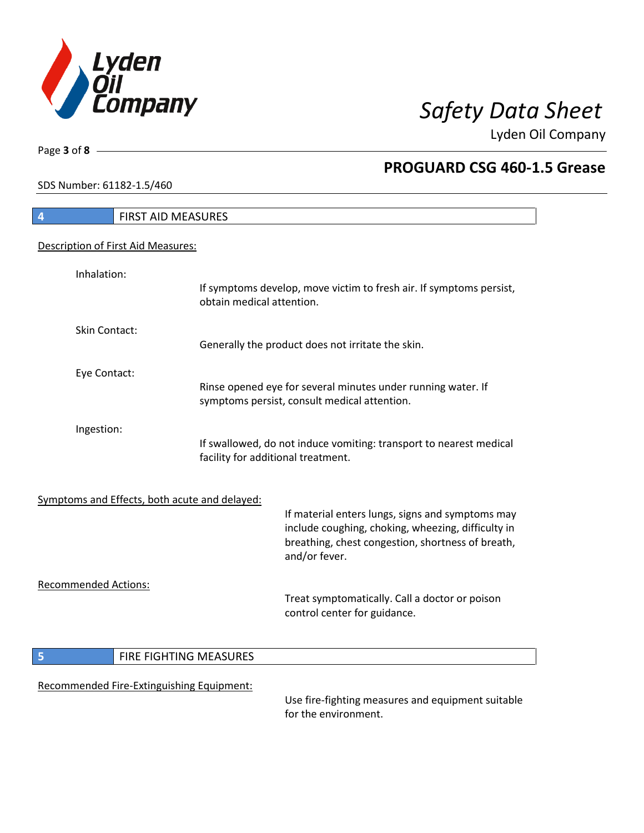

٦

Page **3** of **8**

## **PROGUARD CSG 460-1.5 Grease**

SDS Number: 61182-1.5/460

| 4                           | <b>FIRST AID MEASURES</b>                                                                                |                                                                                                              |
|-----------------------------|----------------------------------------------------------------------------------------------------------|--------------------------------------------------------------------------------------------------------------|
|                             | Description of First Aid Measures:                                                                       |                                                                                                              |
| Inhalation:                 |                                                                                                          | If symptoms develop, move victim to fresh air. If symptoms persist,<br>obtain medical attention.             |
| Skin Contact:               |                                                                                                          | Generally the product does not irritate the skin.                                                            |
| Eye Contact:                |                                                                                                          | Rinse opened eye for several minutes under running water. If<br>symptoms persist, consult medical attention. |
| Ingestion:                  | If swallowed, do not induce vomiting: transport to nearest medical<br>facility for additional treatment. |                                                                                                              |
|                             | Symptoms and Effects, both acute and delayed:                                                            | If material enters lungs, signs and symptoms may<br>include coughing, choking, wheezing, difficulty in       |
|                             |                                                                                                          | breathing, chest congestion, shortness of breath,<br>and/or fever.                                           |
| <b>Recommended Actions:</b> |                                                                                                          | Treat symptomatically. Call a doctor or poison<br>control center for guidance.                               |
| 5                           | FIRE FIGHTING MEASURES                                                                                   |                                                                                                              |
|                             | Recommended Fire-Extinguishing Equipment:                                                                | Use fire-fighting measures and equipment suitable<br>for the environment.                                    |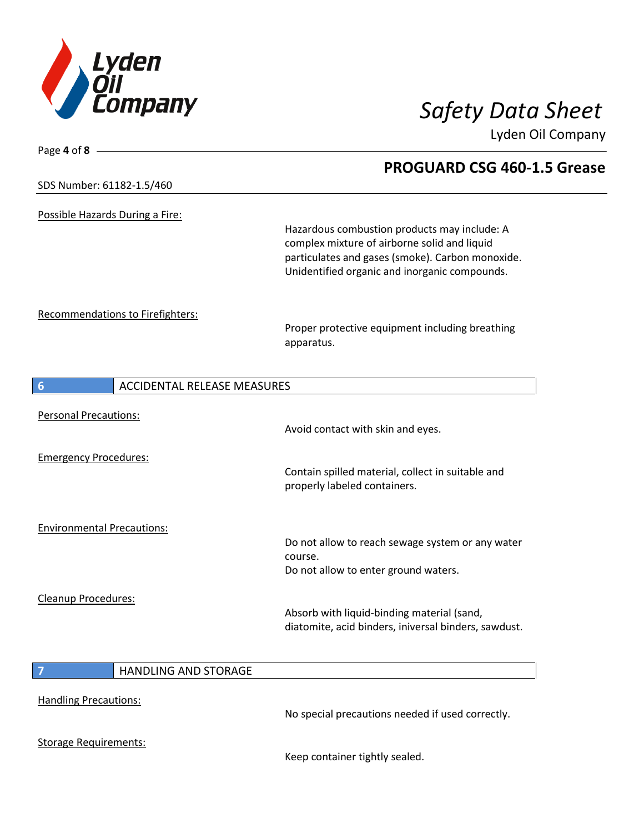

| Page 4 of 8                                           |                                                                                                  |
|-------------------------------------------------------|--------------------------------------------------------------------------------------------------|
|                                                       | <b>PROGUARD CSG 460-1.5 Grease</b>                                                               |
| SDS Number: 61182-1.5/460                             |                                                                                                  |
| Possible Hazards During a Fire:                       |                                                                                                  |
|                                                       | Hazardous combustion products may include: A                                                     |
|                                                       | complex mixture of airborne solid and liquid<br>particulates and gases (smoke). Carbon monoxide. |
|                                                       | Unidentified organic and inorganic compounds.                                                    |
| Recommendations to Firefighters:                      |                                                                                                  |
|                                                       | Proper protective equipment including breathing                                                  |
|                                                       | apparatus.                                                                                       |
| <b>ACCIDENTAL RELEASE MEASURES</b><br>$6\phantom{1}6$ |                                                                                                  |
| <b>Personal Precautions:</b>                          |                                                                                                  |
|                                                       | Avoid contact with skin and eyes.                                                                |
| <b>Emergency Procedures:</b>                          |                                                                                                  |
|                                                       | Contain spilled material, collect in suitable and<br>properly labeled containers.                |
| <b>Environmental Precautions:</b>                     |                                                                                                  |
|                                                       | Do not allow to reach sewage system or any water                                                 |
|                                                       | course.<br>Do not allow to enter ground waters.                                                  |
|                                                       |                                                                                                  |
| Cleanup Procedures:                                   | Absorb with liquid-binding material (sand,                                                       |
|                                                       | diatomite, acid binders, iniversal binders, sawdust.                                             |
| HANDLING AND STORAGE<br>7                             |                                                                                                  |
|                                                       |                                                                                                  |
| <b>Handling Precautions:</b>                          | No special precautions needed if used correctly.                                                 |
| <b>Storage Requirements:</b>                          |                                                                                                  |

Keep container tightly sealed.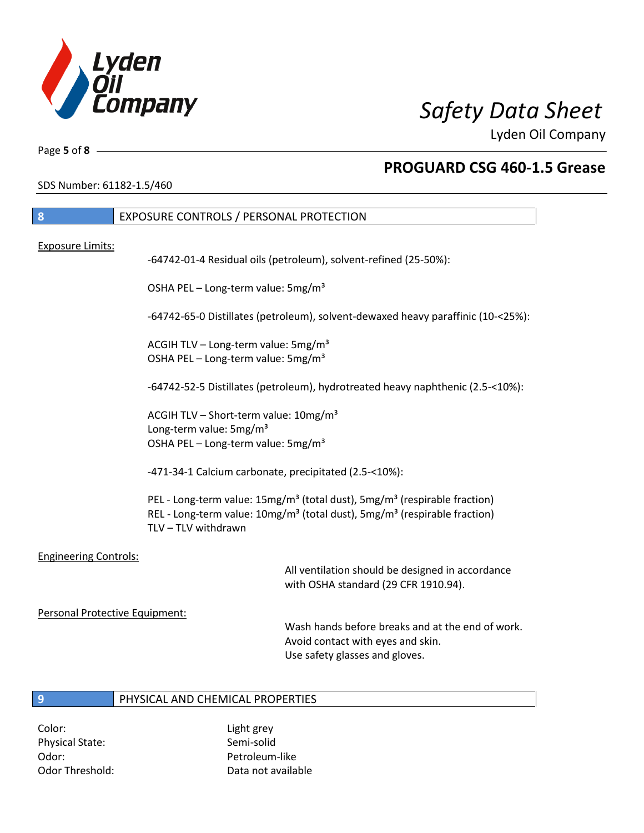

Page **5** of **8**

## **PROGUARD CSG 460-1.5 Grease**

SDS Number: 61182-1.5/460

| -8               | EXPOSURE CONTROLS / PERSONAL PROTECTION                          |
|------------------|------------------------------------------------------------------|
| Exposure Limits: | -64742-01-4 Residual oils (petroleum), solvent-refined (25-50%): |

OSHA PEL – Long-term value: 5mg/m<sup>3</sup>

-64742-65-0 Distillates (petroleum), solvent-dewaxed heavy paraffinic (10-<25%):

ACGIH TLV – Long-term value:  $5\,\text{mg/m}^3$ OSHA PEL - Long-term value: 5mg/m<sup>3</sup>

-64742-52-5 Distillates (petroleum), hydrotreated heavy naphthenic (2.5-<10%):

ACGIH TLV – Short-term value:  $10\,\text{mg/m}^3$ Long-term value: 5mg/m<sup>3</sup> OSHA PEL – Long-term value: 5mg/m<sup>3</sup>

-471-34-1 Calcium carbonate, precipitated (2.5-<10%):

PEL - Long-term value: 15mg/m<sup>3</sup> (total dust), 5mg/m<sup>3</sup> (respirable fraction) REL - Long-term value:  $10$ mg/m<sup>3</sup> (total dust), 5mg/m<sup>3</sup> (respirable fraction) TLV – TLV withdrawn

Engineering Controls:

All ventilation should be designed in accordance with OSHA standard (29 CFR 1910.94).

Personal Protective Equipment:

Wash hands before breaks and at the end of work. Avoid contact with eyes and skin. Use safety glasses and gloves.

### **9** PHYSICAL AND CHEMICAL PROPERTIES

Color: Light grey Physical State: Semi-solid Odor: Petroleum-like

Odor Threshold: Data not available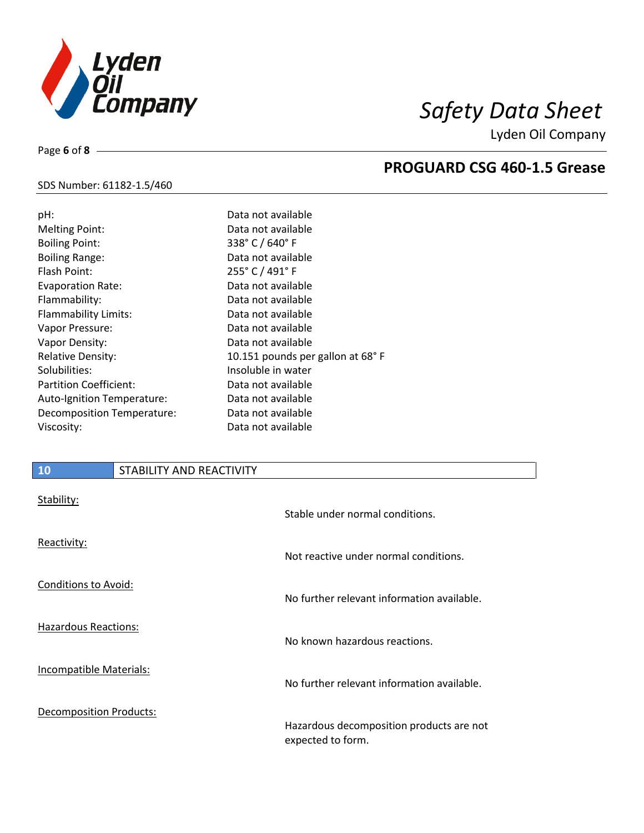

**PROGUARD CSG 460-1.5 Grease**

Lyden Oil Company

## SDS Number: 61182-1.5/460

Page **6** of **8**

| pH:                           | Data not available               |
|-------------------------------|----------------------------------|
| <b>Melting Point:</b>         | Data not available               |
| <b>Boiling Point:</b>         | 338° C / 640° F                  |
| <b>Boiling Range:</b>         | Data not available               |
| Flash Point:                  | 255° C / 491° F                  |
| <b>Evaporation Rate:</b>      | Data not available               |
| Flammability:                 | Data not available               |
| <b>Flammability Limits:</b>   | Data not available               |
| Vapor Pressure:               | Data not available               |
| Vapor Density:                | Data not available               |
| <b>Relative Density:</b>      | 10.151 pounds per gallon at 68°F |
| Solubilities:                 | Insoluble in water               |
| <b>Partition Coefficient:</b> | Data not available               |
| Auto-Ignition Temperature:    | Data not available               |
| Decomposition Temperature:    | Data not available               |
| Viscosity:                    | Data not available               |
|                               |                                  |

## **10** STABILITY AND REACTIVITY

| Stability:                     | Stable under normal conditions.                               |
|--------------------------------|---------------------------------------------------------------|
| Reactivity:                    | Not reactive under normal conditions.                         |
| Conditions to Avoid:           | No further relevant information available.                    |
| <b>Hazardous Reactions:</b>    | No known hazardous reactions.                                 |
| Incompatible Materials:        | No further relevant information available.                    |
| <b>Decomposition Products:</b> | Hazardous decomposition products are not<br>expected to form. |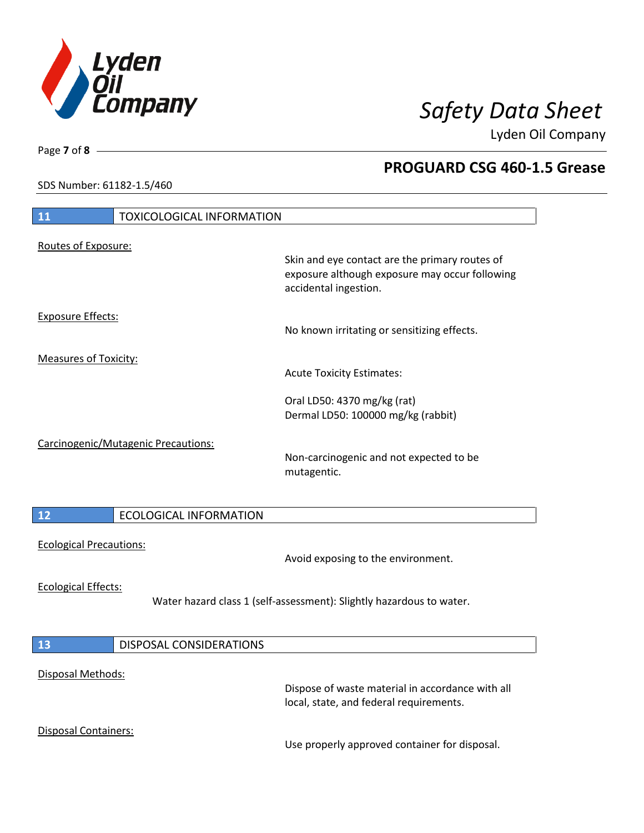

**PROGUARD CSG 460-1.5 Grease**

Lyden Oil Company

SDS Number: 61182-1.5/460

# **11** TOXICOLOGICAL INFORMATION Routes of Exposure: Skin and eye contact are the primary routes of exposure although exposure may occur following accidental ingestion. Exposure Effects: No known irritating or sensitizing effects. Measures of Toxicity: Acute Toxicity Estimates: Oral LD50: 4370 mg/kg (rat) Dermal LD50: 100000 mg/kg (rabbit) Carcinogenic/Mutagenic Precautions: Non-carcinogenic and not expected to be mutagentic. **12** ECOLOGICAL INFORMATION Ecological Precautions: Avoid exposing to the environment. Ecological Effects: Water hazard class 1 (self-assessment): Slightly hazardous to water. **13** DISPOSAL CONSIDERATIONS Disposal Methods: Dispose of waste material in accordance with all local, state, and federal requirements. Disposal Containers: Use properly approved container for disposal.

Page **7** of **8**